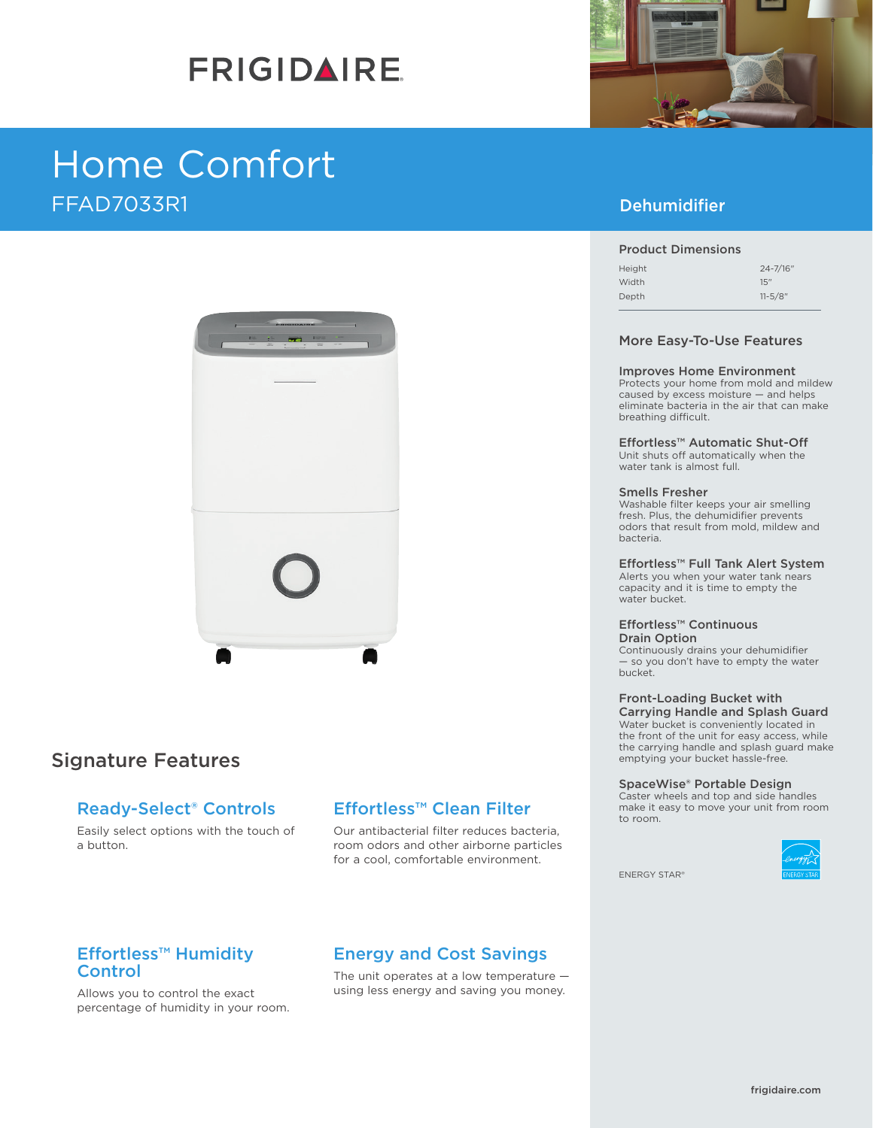# **FRIGIDAIRE**

# Home Comfort FFAD7033R1



## Signature Features

## Ready-Select® Controls

Easily select options with the touch of a button.

## Effortless™ Clean Filter

Our antibacterial filter reduces bacteria, room odors and other airborne particles for a cool, comfortable environment.

### Effortless™ Humidity **Control**

Allows you to control the exact percentage of humidity in your room.

# Energy and Cost Savings

The unit operates at a low temperature using less energy and saving you money.



## Dehumidifier

#### Product Dimensions

| Height | $24 - 7/16"$ |
|--------|--------------|
| Width  | 15"          |
| Depth  | $11 - 5/8$ " |

#### More Easy-To-Use Features

#### Improves Home Environment

Protects your home from mold and mildew caused by excess moisture — and helps eliminate bacteria in the air that can make breathing difficult.

Effortless™ Automatic Shut-Off Unit shuts off automatically when the water tank is almost full.

#### Smells Fresher

Washable filter keeps your air smelling fresh. Plus, the dehumidifier prevents odors that result from mold, mildew and bacteria.

### Effortless™ Full Tank Alert System

Alerts you when your water tank nears capacity and it is time to empty the water bucket.

#### Effortless™ Continuous Drain Option

Continuously drains your dehumidifier — so you don't have to empty the water bucket.

#### Front-Loading Bucket with Carrying Handle and Splash Guard

Water bucket is conveniently located in the front of the unit for easy access, while the carrying handle and splash guard make emptying your bucket hassle-free.

#### SpaceWise® Portable Design

Caster wheels and top and side handles make it easy to move your unit from room to room.



ENERGY STAR®